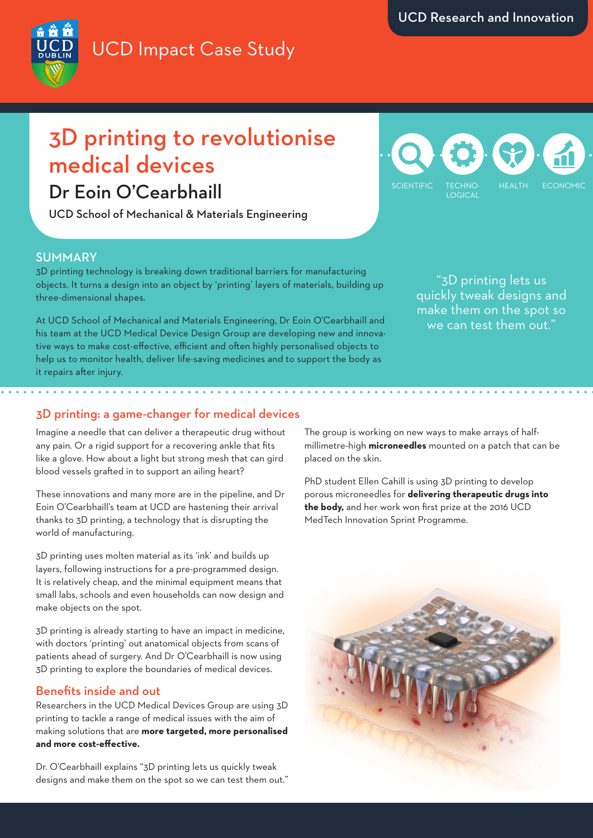## UCD Impact Case Study



# 3D printing to revolutionise medical devices

### Dr Eoin O'Cearbhaill

UCD School of Mechanical & Materials Engineering



#### SUMMARY

3D printing technology is breaking down traditional barriers for manufacturing objects. It turns a design into an object by 'printing' layers of materials, building up three-dimensional shapes.

At UCD School of Mechanical and Materials Engineering, Dr Eoin O'Cearbhaill and his team at the UCD Medical Device Design Group are developing new and innovative ways to make cost-effective, efficient and often highly personalised objects to help us to monitor health, deliver life-saving medicines and to support the body as it repairs after injury.

"3D printing lets us quickly tweak designs and make them on the spot so we can test them out."

### 3D printing: a game-changer for medical devices

Imagine a needle that can deliver a therapeutic drug without any pain. Or a rigid support for a recovering ankle that fits like a glove. How about a light but strong mesh that can gird blood vessels grafted in to support an ailing heart?

These innovations and many more are in the pipeline, and Dr Eoin O'Cearbhaill's team at UCD are hastening their arrival thanks to 3D printing, a technology that is disrupting the world of manufacturing.

3D printing uses molten material as its 'ink' and builds up layers, following instructions for a pre-programmed design. It is relatively cheap, and the minimal equipment means that small labs, schools and even households can now design and make objects on the spot.

3D printing is already starting to have an impact in medicine, with doctors 'printing' out anatomical objects from scans of patients ahead of surgery. And Dr O'Cearbhaill is now using 3D printing to explore the boundaries of medical devices.

#### Benefits inside and out

Researchers in the UCD Medical Devices Group are using 3D printing to tackle a range of medical issues with the aim of making solutions that are **more targeted, more personalised and more cost-effective.** 

Dr. O'Cearbhaill explains "3D printing lets us quickly tweak designs and make them on the spot so we can test them out." The group is working on new ways to make arrays of halfmillimetre-high **microneedles** mounted on a patch that can be placed on the skin.

PhD student Ellen Cahill is using 3D printing to develop porous microneedles for **delivering therapeutic drugs into the body,** and her work won first prize at the 2016 UCD MedTech Innovation Sprint Programme.

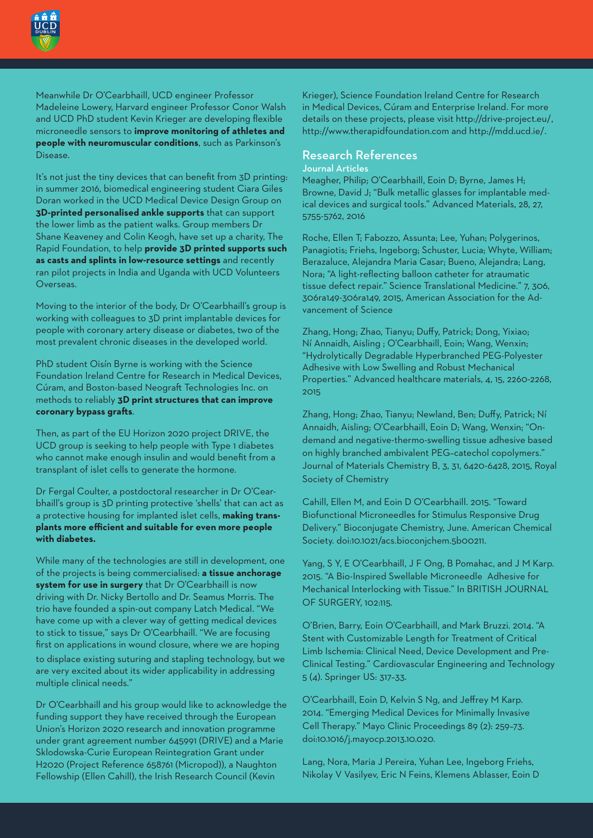

Meanwhile Dr O'Cearbhaill, UCD engineer Professor Madeleine Lowery, Harvard engineer Professor Conor Walsh and UCD PhD student Kevin Krieger are developing flexible microneedle sensors to **improve monitoring of athletes and people with neuromuscular conditions**, such as Parkinson's Disease.

It's not just the tiny devices that can benefit from 3D printing: in summer 2016, biomedical engineering student Ciara Giles Doran worked in the UCD Medical Device Design Group on **3D-printed personalised ankle supports** that can support the lower limb as the patient walks. Group members Dr Shane Keaveney and Colin Keogh, have set up a charity, The Rapid Foundation, to help **provide 3D printed supports such as casts and splints in low-resource settings** and recently ran pilot projects in India and Uganda with UCD Volunteers Overseas.

Moving to the interior of the body, Dr O'Cearbhaill's group is working with colleagues to 3D print implantable devices for people with coronary artery disease or diabetes, two of the most prevalent chronic diseases in the developed world.

PhD student Oisín Byrne is working with the Science Foundation Ireland Centre for Research in Medical Devices, Cúram, and Boston-based Neograft Technologies Inc. on methods to reliably **3D print structures that can improve coronary bypass grafts**.

Then, as part of the EU Horizon 2020 project DRIVE, the UCD group is seeking to help people with Type 1 diabetes who cannot make enough insulin and would benefit from a transplant of islet cells to generate the hormone.

Dr Fergal Coulter, a postdoctoral researcher in Dr O'Cearbhaill's group is 3D printing protective 'shells' that can act as a protective housing for implanted islet cells, **making transplants more efficient and suitable for even more people with diabetes.**

While many of the technologies are still in development, one of the projects is being commercialised: **a tissue anchorage system for use in surgery** that Dr O'Cearbhaill is now driving with Dr. Nicky Bertollo and Dr. Seamus Morris. The trio have founded a spin-out company Latch Medical. "We have come up with a clever way of getting medical devices to stick to tissue," says Dr O'Cearbhaill. "We are focusing first on applications in wound closure, where we are hoping to displace existing suturing and stapling technology, but we are very excited about its wider applicability in addressing multiple clinical needs."

Dr O'Cearbhaill and his group would like to acknowledge the funding support they have received through the European Union's Horizon 2020 research and innovation programme under grant agreement number 645991 (DRIVE) and a Marie Sklodowska-Curie European Reintegration Grant under H2020 (Project Reference 658761 (Micropod)), a Naughton Fellowship (Ellen Cahill), the Irish Research Council (Kevin

Krieger), Science Foundation Ireland Centre for Research in Medical Devices, Cúram and Enterprise Ireland. For more details on these projects, please visit http://drive-project.eu/, http://www.therapidfoundation.com and http://mdd.ucd.ie/.

#### Research References Journal Articles

Meagher, Philip; O'Cearbhaill, Eoin D; Byrne, James H; Browne, David J; "Bulk metallic glasses for implantable medical devices and surgical tools." Advanced Materials, 28, 27, 5755-5762, 2016

Roche, Ellen T; Fabozzo, Assunta; Lee, Yuhan; Polygerinos, Panagiotis; Friehs, Ingeborg; Schuster, Lucia; Whyte, William; Berazaluce, Alejandra Maria Casar; Bueno, Alejandra; Lang, Nora; "A light-reflecting balloon catheter for atraumatic tissue defect repair." Science Translational Medicine." 7, 306, 306ra149-306ra149, 2015, American Association for the Advancement of Science

Zhang, Hong; Zhao, Tianyu; Duffy, Patrick; Dong, Yixiao; Ní Annaidh, Aisling ; O'Cearbhaill, Eoin; Wang, Wenxin; "Hydrolytically Degradable Hyperbranched PEG-Polyester Adhesive with Low Swelling and Robust Mechanical Properties." Advanced healthcare materials, 4, 15, 2260-2268, 2015

Zhang, Hong; Zhao, Tianyu; Newland, Ben; Duffy, Patrick; Ní Annaidh, Aisling; O'Cearbhaill, Eoin D; Wang, Wenxin; "Ondemand and negative-thermo-swelling tissue adhesive based on highly branched ambivalent PEG–catechol copolymers." Journal of Materials Chemistry B, 3, 31, 6420-6428, 2015, Royal Society of Chemistry

Cahill, Ellen M, and Eoin D O'Cearbhaill. 2015. "Toward Biofunctional Microneedles for Stimulus Responsive Drug Delivery." Bioconjugate Chemistry, June. American Chemical Society. doi:10.1021/acs.bioconjchem.5b00211.

Yang, S Y, E O'Cearbhaill, J F Ong, B Pomahac, and J M Karp. 2015. "A Bio-Inspired Swellable Microneedle Adhesive for Mechanical Interlocking with Tissue." In BRITISH JOURNAL OF SURGERY, 102:115.

O'Brien, Barry, Eoin O'Cearbhaill, and Mark Bruzzi. 2014. "A Stent with Customizable Length for Treatment of Critical Limb Ischemia: Clinical Need, Device Development and Pre-Clinical Testing." Cardiovascular Engineering and Technology 5 (4). Springer US: 317–33.

O'Cearbhaill, Eoin D, Kelvin S Ng, and Jeffrey M Karp. 2014. "Emerging Medical Devices for Minimally Invasive Cell Therapy." Mayo Clinic Proceedings 89 (2): 259–73. doi:10.1016/j.mayocp.2013.10.020.

Lang, Nora, Maria J Pereira, Yuhan Lee, Ingeborg Friehs, Nikolay V Vasilyev, Eric N Feins, Klemens Ablasser, Eoin D